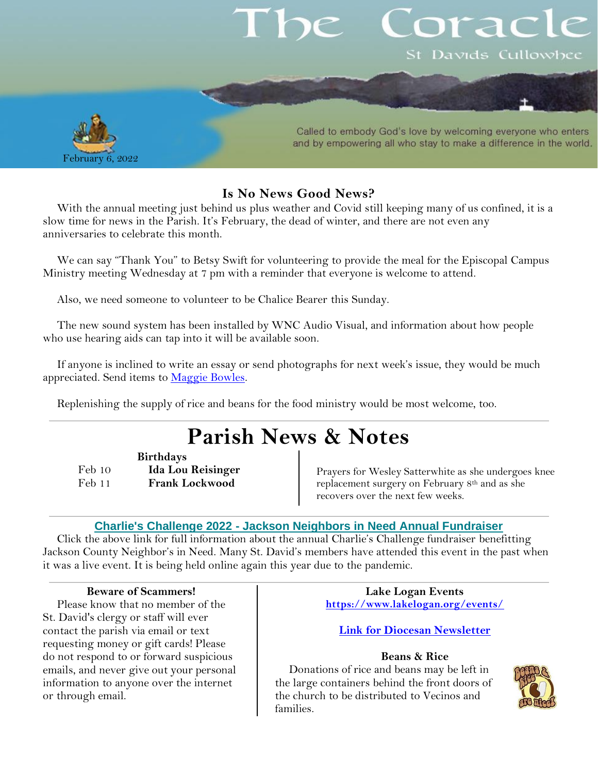# orac St Davids Cullowhee



Called to embody God's love by welcoming everyone who enters and by empowering all who stay to make a difference in the world.

#### **Is No News Good News?**

With the annual meeting just behind us plus weather and Covid still keeping many of us confined, it is a slow time for news in the Parish. It's February, the dead of winter, and there are not even any anniversaries to celebrate this month.

We can say "Thank You" to Betsy Swift for volunteering to provide the meal for the Episcopal Campus Ministry meeting Wednesday at 7 pm with a reminder that everyone is welcome to attend.

Also, we need someone to volunteer to be Chalice Bearer this Sunday.

The new sound system has been installed by WNC Audio Visual, and information about how people who use hearing aids can tap into it will be available soon.

If anyone is inclined to write an essay or send photographs for next week's issue, they would be much appreciated. Send items to [Maggie Bowles.](mailto:magbowles@gmail.com)

Replenishing the supply of rice and beans for the food ministry would be most welcome, too.

## **Parish News & Notes**

**Birthdays**

Feb 10 **Ida Lou Reisinger** Feb 11 **Frank Lockwood**

Prayers for Wesley Satterwhite as she undergoes knee replacement surgery on February 8th and as she recovers over the next few weeks.

#### **Charlie's Challenge 2022 - [Jackson Neighbors in Need Annual Fundraiser](https://jacksonnieghborsinneed.us4.list-manage.com/track/click?u=e4ee452bf52c6dae6fe5f39d9&id=b4c1c7fc90&e=ba212b7a96)**

Click the above link for full information about the annual Charlie's Challenge fundraiser benefitting Jackson County Neighbor's in Need. Many St. David's members have attended this event in the past when it was a live event. It is being held online again this year due to the pandemic.

#### **Beware of Scammers!**

Please know that no member of the St. David's clergy or staff will ever contact the parish via email or text requesting money or gift cards! Please do not respond to or forward suspicious emails, and never give out your personal information to anyone over the internet or through email.

**Lake Logan Events <https://www.lakelogan.org/events/>**

**[Link for Diocesan Newsletter](https://files.ctctusercontent.com/bcd32219001/75075db9-7c0d-488e-ad4e-ddfa7bb70a84.pdf?rdr=true)**

#### **Beans & Rice**

Donations of rice and beans may be left in the large containers behind the front doors of the church to be distributed to Vecinos and families.